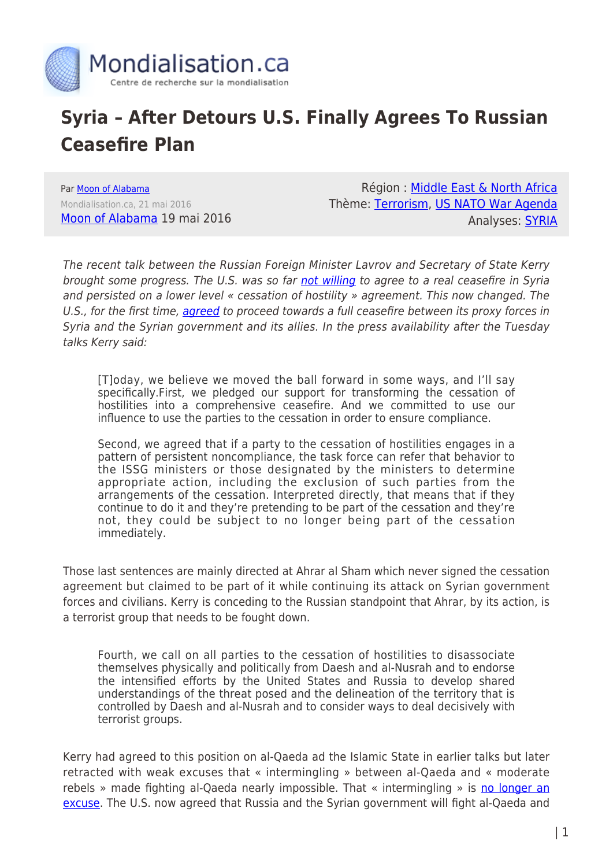

## **Syria – After Detours U.S. Finally Agrees To Russian Ceasefire Plan**

Par [Moon of Alabama](https://www.mondialisation.ca/author/moon-of-alabama) Mondialisation.ca, 21 mai 2016 [Moon of Alabama](http://www.moonofalabama.org/2016/05/syria-after-detours-us-finally-agrees-to-russian-ceasefire-plan.html) 19 mai 2016

Région : [Middle East & North Africa](https://www.mondialisation.ca/region/middle-east) Thème: [Terrorism](https://www.mondialisation.ca/theme/9-11-war-on-terrorism), [US NATO War Agenda](https://www.mondialisation.ca/theme/us-nato-war-agenda) Analyses: [SYRIA](https://www.mondialisation.ca/indepthreport/syria-nato-s-next-war)

The recent talk between the Russian Foreign Minister Lavrov and Secretary of State Kerry brought some progress. The U.S. was so far [not willing](http://www.state.gov/secretary/remarks/2016/02/252431.htm) to agree to a real ceasefire in Syria and persisted on a lower level « cessation of hostility » agreement. This now changed. The U.S., for the first time, [agreed](http://www.state.gov/secretary/remarks/2016/05/257311.htm) to proceed towards a full ceasefire between its proxy forces in Syria and the Syrian government and its allies. In the press availability after the Tuesday talks Kerry said:

[T]oday, we believe we moved the ball forward in some ways, and I'll say specifically.First, we pledged our support for transforming the cessation of hostilities into a comprehensive ceasefire. And we committed to use our influence to use the parties to the cessation in order to ensure compliance.

Second, we agreed that if a party to the cessation of hostilities engages in a pattern of persistent noncompliance, the task force can refer that behavior to the ISSG ministers or those designated by the ministers to determine appropriate action, including the exclusion of such parties from the arrangements of the cessation. Interpreted directly, that means that if they continue to do it and they're pretending to be part of the cessation and they're not, they could be subject to no longer being part of the cessation immediately.

Those last sentences are mainly directed at Ahrar al Sham which never signed the cessation agreement but claimed to be part of it while continuing its attack on Syrian government forces and civilians. Kerry is conceding to the Russian standpoint that Ahrar, by its action, is a terrorist group that needs to be fought down.

Fourth, we call on all parties to the cessation of hostilities to disassociate themselves physically and politically from Daesh and al-Nusrah and to endorse the intensified efforts by the United States and Russia to develop shared understandings of the threat posed and the delineation of the territory that is controlled by Daesh and al-Nusrah and to consider ways to deal decisively with terrorist groups.

Kerry had agreed to this position on al-Qaeda ad the Islamic State in earlier talks but later retracted with weak excuses that « intermingling » between al-Qaeda and « moderate rebels » made fighting al-Qaeda nearly impossible. That « intermingling » is [no longer an](http://www.state.gov/r/pa/prs/dpb/2016/05/257315.htm#SYRIA) [excuse.](http://www.state.gov/r/pa/prs/dpb/2016/05/257315.htm#SYRIA) The U.S. now agreed that Russia and the Syrian government will fight al-Qaeda and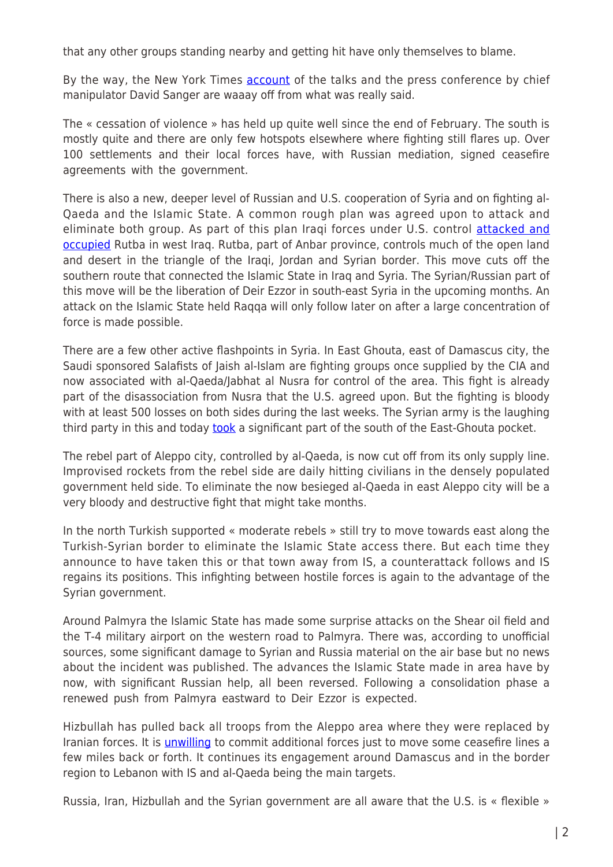that any other groups standing nearby and getting hit have only themselves to blame.

By the way, the New York Times **[account](http://www.nytimes.com/2016/05/18/world/europe/syria-truce-kerry-assad-airdrop.html?ref=world)** of the talks and the press conference by chief manipulator David Sanger are waaay off from what was really said.

The « cessation of violence » has held up quite well since the end of February. The south is mostly quite and there are only few hotspots elsewhere where fighting still flares up. Over 100 settlements and their local forces have, with Russian mediation, signed ceasefire agreements with the government.

There is also a new, deeper level of Russian and U.S. cooperation of Syria and on fighting al-Qaeda and the Islamic State. A common rough plan was agreed upon to attack and eliminate both group. As part of this plan Iragi forces under U.S. control [attacked and](http://www.reuters.com/article/us-mideast-crisis-iraq-rutba-idUSKCN0YA1FG) [occupied](http://www.reuters.com/article/us-mideast-crisis-iraq-rutba-idUSKCN0YA1FG) Rutba in west Iraq. Rutba, part of Anbar province, controls much of the open land and desert in the triangle of the Iraqi, Jordan and Syrian border. This move cuts off the southern route that connected the Islamic State in Iraq and Syria. The Syrian/Russian part of this move will be the liberation of Deir Ezzor in south-east Syria in the upcoming months. An attack on the Islamic State held Raqqa will only follow later on after a large concentration of force is made possible.

There are a few other active flashpoints in Syria. In East Ghouta, east of Damascus city, the Saudi sponsored Salafists of Jaish al-Islam are fighting groups once supplied by the CIA and now associated with al-Qaeda/Jabhat al Nusra for control of the area. This fight is already part of the disassociation from Nusra that the U.S. agreed upon. But the fighting is bloody with at least 500 losses on both sides during the last weeks. The Syrian army is the laughing third party in this and today [took](http://bigstory.ap.org/article/e336badacb9742228259ec8415cf75fe) a significant part of the south of the East-Ghouta pocket.

The rebel part of Aleppo city, controlled by al-Qaeda, is now cut off from its only supply line. Improvised rockets from the rebel side are daily hitting civilians in the densely populated government held side. To eliminate the now besieged al-Qaeda in east Aleppo city will be a very bloody and destructive fight that might take months.

In the north Turkish supported « moderate rebels » still try to move towards east along the Turkish-Syrian border to eliminate the Islamic State access there. But each time they announce to have taken this or that town away from IS, a counterattack follows and IS regains its positions. This infighting between hostile forces is again to the advantage of the Syrian government.

Around Palmyra the Islamic State has made some surprise attacks on the Shear oil field and the T-4 military airport on the western road to Palmyra. There was, according to unofficial sources, some significant damage to Syrian and Russia material on the air base but no news about the incident was published. The advances the Islamic State made in area have by now, with significant Russian help, all been reversed. Following a consolidation phase a renewed push from Palmyra eastward to Deir Ezzor is expected.

Hizbullah has pulled back all troops from the Aleppo area where they were replaced by Iranian forces. It is *[unwilling](https://elijahjm.wordpress.com/2016/05/19/hezbollah-is-not-willing-to-engage-in-further-battles-if-these-aim-only-to-improve-the-position-of-the-syrian-government-at-the-negotiation-table-in-geneva/)* to commit additional forces just to move some ceasefire lines a few miles back or forth. It continues its engagement around Damascus and in the border region to Lebanon with IS and al-Qaeda being the main targets.

Russia, Iran, Hizbullah and the Syrian government are all aware that the U.S. is « flexible »